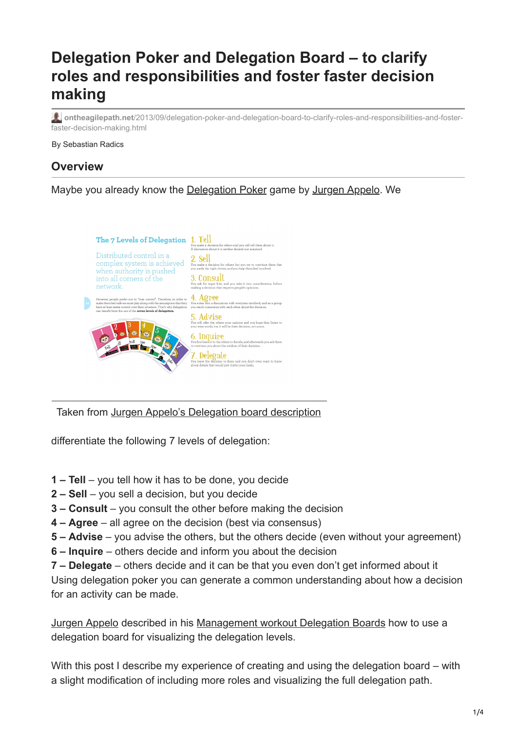# **Delegation Poker and Delegation Board – to clarify roles and responsibilities and foster faster decision making**

**ontheagilepath.net**[/2013/09/delegation-poker-and-delegation-board-to-clarify-roles-and-responsibilities-and-foster](https://www.ontheagilepath.net/2013/09/delegation-poker-and-delegation-board-to-clarify-roles-and-responsibilities-and-foster-faster-decision-making.html)faster-decision-making.html

By Sebastian Radics

### **Overview**

#### Maybe you already know the [Delegation Poker](http://www.management30.com/product/delegation-poker/) game by [Jurgen Appelo](https://twitter.com/jurgenappelo). We



Taken from [Jurgen Appelo's Delegation board description](http://www.management30.com/workout/delegation-boards/)

differentiate the following 7 levels of delegation:

- **1 Tell**  you tell how it has to be done, you decide
- **2 Sell**  you sell a decision, but you decide
- **3 Consult**  you consult the other before making the decision
- **4 Agree**  all agree on the decision (best via consensus)
- **5 Advise**  you advise the others, but the others decide (even without your agreement)
- **6 Inquire**  others decide and inform you about the decision
- **7 Delegate**  others decide and it can be that you even don't get informed about it

Using delegation poker you can generate a common understanding about how a decision for an activity can be made.

[Jurgen Appelo](https://twitter.com/jurgenappelo) described in his [Management workout Delegation Boards](http://www.management30.com/workout/delegation-boards/) how to use a delegation board for visualizing the delegation levels.

With this post I describe my experience of creating and using the delegation board – with a slight modification of including more roles and visualizing the full delegation path.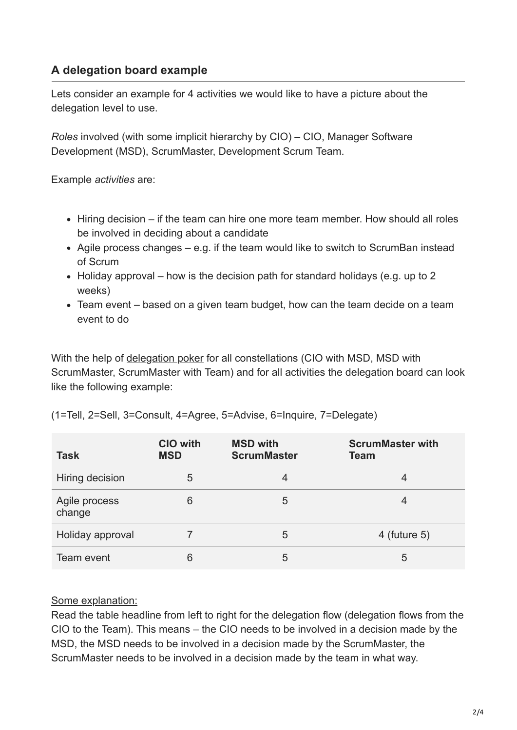## **A delegation board example**

Lets consider an example for 4 activities we would like to have a picture about the delegation level to use.

*Roles* involved (with some implicit hierarchy by CIO) – CIO, Manager Software Development (MSD), ScrumMaster, Development Scrum Team.

Example *activities* are:

- Hiring decision if the team can hire one more team member. How should all roles be involved in deciding about a candidate
- Agile process changes e.g. if the team would like to switch to ScrumBan instead of Scrum
- $\bullet$  Holiday approval how is the decision path for standard holidays (e.g. up to 2 weeks)
- Team event based on a given team budget, how can the team decide on a team event to do

With the help of [delegation poker](http://www.management30.com/product/delegation-poker/) for all constellations (CIO with MSD, MSD with ScrumMaster, ScrumMaster with Team) and for all activities the delegation board can look like the following example:

| <b>Task</b>             | <b>CIO with</b><br><b>MSD</b> | <b>MSD with</b><br><b>ScrumMaster</b> | <b>ScrumMaster with</b><br><b>Team</b> |
|-------------------------|-------------------------------|---------------------------------------|----------------------------------------|
| Hiring decision         | 5                             | 4                                     | 4                                      |
| Agile process<br>change | 6                             | 5                                     | 4                                      |
| Holiday approval        |                               | 5                                     | 4 (future $5$ )                        |
| Team event              | 6                             | 5                                     | 5                                      |

| (1=Tell, 2=Sell, 3=Consult, 4=Agree, 5=Advise, 6=Inquire, 7=Delegate) |  |  |
|-----------------------------------------------------------------------|--|--|
|-----------------------------------------------------------------------|--|--|

#### Some explanation:

Read the table headline from left to right for the delegation flow (delegation flows from the CIO to the Team). This means – the CIO needs to be involved in a decision made by the MSD, the MSD needs to be involved in a decision made by the ScrumMaster, the ScrumMaster needs to be involved in a decision made by the team in what way.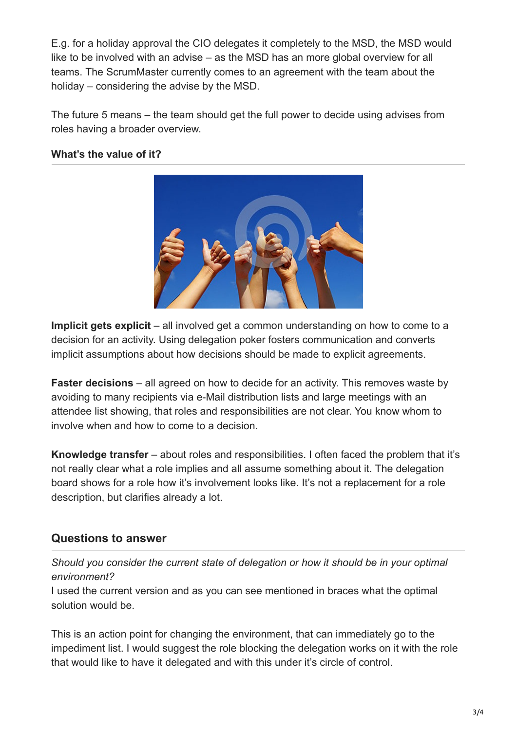E.g. for a holiday approval the CIO delegates it completely to the MSD, the MSD would like to be involved with an advise – as the MSD has an more global overview for all teams. The ScrumMaster currently comes to an agreement with the team about the holiday – considering the advise by the MSD.

The future 5 means – the team should get the full power to decide using advises from roles having a broader overview.

#### **What's the value of it?**



**Implicit gets explicit** – all involved get a common understanding on how to come to a decision for an activity. Using delegation poker fosters communication and converts implicit assumptions about how decisions should be made to explicit agreements.

**Faster decisions** – all agreed on how to decide for an activity. This removes waste by avoiding to many recipients via e-Mail distribution lists and large meetings with an attendee list showing, that roles and responsibilities are not clear. You know whom to involve when and how to come to a decision.

**Knowledge transfer** – about roles and responsibilities. I often faced the problem that it's not really clear what a role implies and all assume something about it. The delegation board shows for a role how it's involvement looks like. It's not a replacement for a role description, but clarifies already a lot.

## **Questions to answer**

*Should you consider the current state of delegation or how it should be in your optimal environment?*

I used the current version and as you can see mentioned in braces what the optimal solution would be.

This is an action point for changing the environment, that can immediately go to the impediment list. I would suggest the role blocking the delegation works on it with the role that would like to have it delegated and with this under it's circle of control.